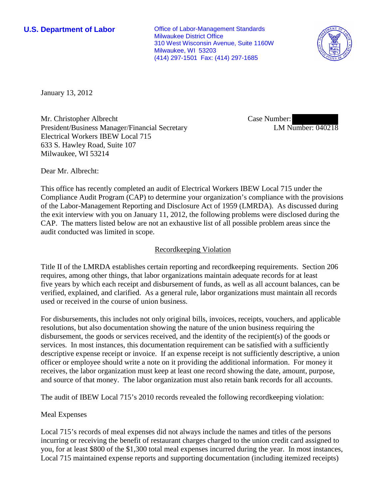**U.S. Department of Labor Office of Labor-Management Standards** Milwaukee District Office 310 West Wisconsin Avenue, Suite 1160W Milwaukee, WI 53203 (414) 297-1501 Fax: (414) 297-1685



January 13, 2012

Mr. Christopher Albrecht President/Business Manager/Financial Secretary Electrical Workers IBEW Local 715 633 S. Hawley Road, Suite 107 Milwaukee, WI 53214

Case Number: LM Number: 040218

Dear Mr. Albrecht:

This office has recently completed an audit of Electrical Workers IBEW Local 715 under the Compliance Audit Program (CAP) to determine your organization's compliance with the provisions of the Labor-Management Reporting and Disclosure Act of 1959 (LMRDA). As discussed during the exit interview with you on January 11, 2012, the following problems were disclosed during the CAP. The matters listed below are not an exhaustive list of all possible problem areas since the audit conducted was limited in scope.

## Recordkeeping Violation

Title II of the LMRDA establishes certain reporting and recordkeeping requirements. Section 206 requires, among other things, that labor organizations maintain adequate records for at least five years by which each receipt and disbursement of funds, as well as all account balances, can be verified, explained, and clarified. As a general rule, labor organizations must maintain all records used or received in the course of union business.

For disbursements, this includes not only original bills, invoices, receipts, vouchers, and applicable resolutions, but also documentation showing the nature of the union business requiring the disbursement, the goods or services received, and the identity of the recipient(s) of the goods or services. In most instances, this documentation requirement can be satisfied with a sufficiently descriptive expense receipt or invoice. If an expense receipt is not sufficiently descriptive, a union officer or employee should write a note on it providing the additional information. For money it receives, the labor organization must keep at least one record showing the date, amount, purpose, and source of that money. The labor organization must also retain bank records for all accounts.

The audit of IBEW Local 715's 2010 records revealed the following recordkeeping violation:

## Meal Expenses

Local 715's records of meal expenses did not always include the names and titles of the persons incurring or receiving the benefit of restaurant charges charged to the union credit card assigned to you, for at least \$800 of the \$1,300 total meal expenses incurred during the year. In most instances, Local 715 maintained expense reports and supporting documentation (including itemized receipts)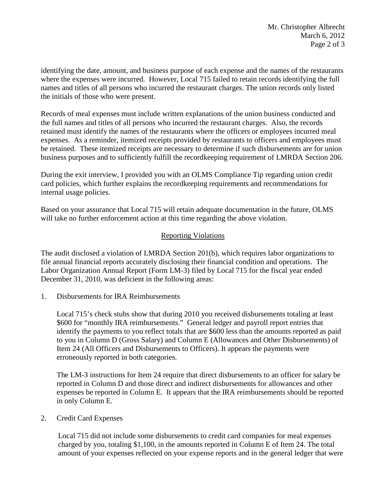identifying the date, amount, and business purpose of each expense and the names of the restaurants where the expenses were incurred. However, Local 715 failed to retain records identifying the full names and titles of all persons who incurred the restaurant charges. The union records only listed the initials of those who were present.

Records of meal expenses must include written explanations of the union business conducted and the full names and titles of all persons who incurred the restaurant charges. Also, the records retained must identify the names of the restaurants where the officers or employees incurred meal expenses. As a reminder, itemized receipts provided by restaurants to officers and employees must be retained. These itemized receipts are necessary to determine if such disbursements are for union business purposes and to sufficiently fulfill the recordkeeping requirement of LMRDA Section 206.

During the exit interview, I provided you with an OLMS Compliance Tip regarding union credit card policies, which further explains the recordkeeping requirements and recommendations for internal usage policies.

Based on your assurance that Local 715 will retain adequate documentation in the future, OLMS will take no further enforcement action at this time regarding the above violation.

## Reporting Violations

The audit disclosed a violation of LMRDA Section 201(b), which requires labor organizations to file annual financial reports accurately disclosing their financial condition and operations. The Labor Organization Annual Report (Form LM-3) filed by Local 715 for the fiscal year ended December 31, 2010, was deficient in the following areas:

1. Disbursements for IRA Reimbursements

Local 715's check stubs show that during 2010 you received disbursements totaling at least \$600 for "monthly IRA reimbursements." General ledger and payroll report entries that identify the payments to you reflect totals that are \$600 less than the amounts reported as paid to you in Column D (Gross Salary) and Column E (Allowances and Other Disbursements) of Item 24 (All Officers and Disbursements to Officers). It appears the payments were erroneously reported in both categories.

The LM-3 instructions for Item 24 require that direct disbursements to an officer for salary be reported in Column D and those direct and indirect disbursements for allowances and other expenses be reported in Column E. It appears that the IRA reimbursements should be reported in only Column E.

2. Credit Card Expenses

Local 715 did not include some disbursements to credit card companies for meal expenses charged by you, totaling \$1,100, in the amounts reported in Column E of Item 24. The total amount of your expenses reflected on your expense reports and in the general ledger that were